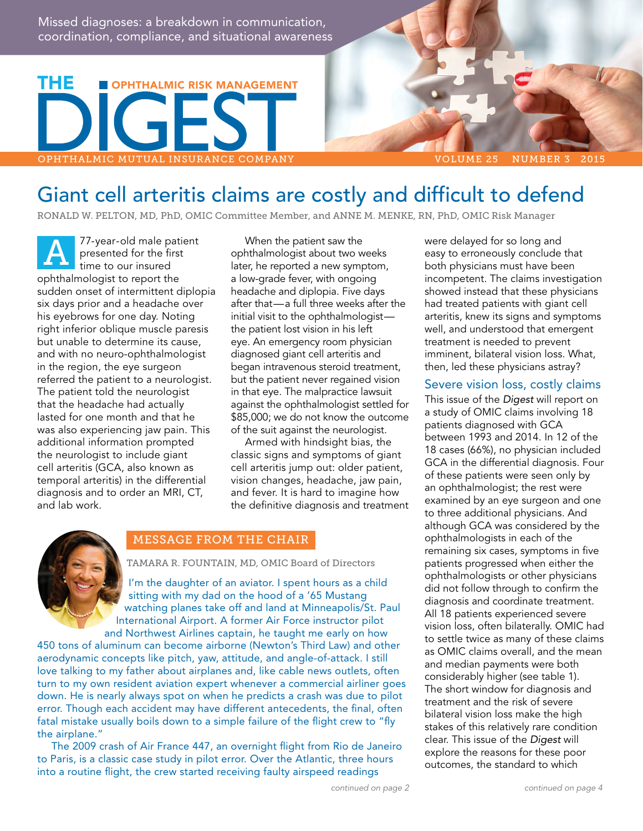Missed diagnoses: a breakdown in communication, coordination, compliance, and situational awareness



# Giant cell arteritis claims are costly and difficult to defend

RONALD W. PELTON, MD, PhD, OMIC Committee Member, and ANNE M. MENKE, RN, PhD, OMIC Risk Manager

77-year-old male patient presented for the first time to our insured ophthalmologist to report the sudden onset of intermittent diplopia six days prior and a headache over his eyebrows for one day. Noting right inferior oblique muscle paresis but unable to determine its cause, and with no neuro-ophthalmologist in the region, the eye surgeon referred the patient to a neurologist. The patient told the neurologist that the headache had actually lasted for one month and that he was also experiencing jaw pain. This additional information prompted the neurologist to include giant cell arteritis (GCA, also known as temporal arteritis) in the differential diagnosis and to order an MRI, CT, and lab work. A

When the patient saw the ophthalmologist about two weeks later, he reported a new symptom, a low-grade fever, with ongoing headache and diplopia. Five days after that—a full three weeks after the initial visit to the ophthalmologist the patient lost vision in his left eye. An emergency room physician diagnosed giant cell arteritis and began intravenous steroid treatment, but the patient never regained vision in that eye. The malpractice lawsuit against the ophthalmologist settled for \$85,000; we do not know the outcome of the suit against the neurologist.

Armed with hindsight bias, the classic signs and symptoms of giant cell arteritis jump out: older patient, vision changes, headache, jaw pain, and fever. It is hard to imagine how the definitive diagnosis and treatment



#### MESSAGE FROM THE CHAIR

TAMARA R. FOUNTAIN, MD, OMIC Board of Directors

I'm the daughter of an aviator. I spent hours as a child sitting with my dad on the hood of a '65 Mustang watching planes take off and land at Minneapolis/St. Paul International Airport. A former Air Force instructor pilot and Northwest Airlines captain, he taught me early on how

450 tons of aluminum can become airborne (Newton's Third Law) and other aerodynamic concepts like pitch, yaw, attitude, and angle-of-attack. I still love talking to my father about airplanes and, like cable news outlets, often turn to my own resident aviation expert whenever a commercial airliner goes down. He is nearly always spot on when he predicts a crash was due to pilot error. Though each accident may have different antecedents, the final, often fatal mistake usually boils down to a simple failure of the flight crew to "fly the airplane."

The 2009 crash of Air France 447, an overnight flight from Rio de Janeiro to Paris, is a classic case study in pilot error. Over the Atlantic, three hours into a routine flight, the crew started receiving faulty airspeed readings

were delayed for so long and easy to erroneously conclude that both physicians must have been incompetent. The claims investigation showed instead that these physicians had treated patients with giant cell arteritis, knew its signs and symptoms well, and understood that emergent treatment is needed to prevent imminent, bilateral vision loss. What, then, led these physicians astray?

#### Severe vision loss, costly claims

This issue of the *Digest* will report on a study of OMIC claims involving 18 patients diagnosed with GCA between 1993 and 2014. In 12 of the 18 cases (66%), no physician included GCA in the differential diagnosis. Four of these patients were seen only by an ophthalmologist; the rest were examined by an eye surgeon and one to three additional physicians. And although GCA was considered by the ophthalmologists in each of the remaining six cases, symptoms in five patients progressed when either the ophthalmologists or other physicians did not follow through to confirm the diagnosis and coordinate treatment. All 18 patients experienced severe vision loss, often bilaterally. OMIC had to settle twice as many of these claims as OMIC claims overall, and the mean and median payments were both considerably higher (see table 1). The short window for diagnosis and treatment and the risk of severe bilateral vision loss make the high stakes of this relatively rare condition clear. This issue of the *Digest* will explore the reasons for these poor outcomes, the standard to which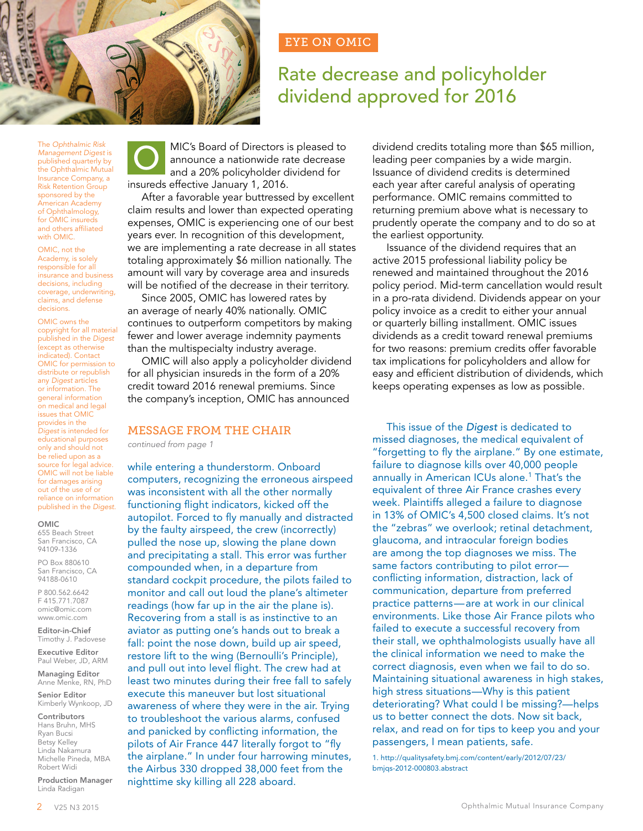## EYE ON OMIC

# Rate decrease and policyholder dividend approved for 2016

The *Ophthalmic Risk Management Digest* is published quarterly by the Ophthalmic Mutual Insurance Company, a Risk Retention Group sponsored by the American Academy of Ophthalmology, for OMIC insureds and others affiliated with OMIC.

OMIC, not the Academy, is solely responsible for all insurance and business decisions, including coverage, underwriting, claims, and defense decisions.

OMIC owns the copyright for all material published in the *Digest*  (except as otherwise indicated). Contact OMIC for permission to distribute or republish any *Digest* articles or information. The general information on medical and legal issues that OMIC provides in the *Digest* is intended for educational purposes only and should not be relied upon as a source for legal advice. OMIC will not be liable for damages arising out of the use of or reliance on information published in the *Digest*.

#### OMIC

655 Beach Street San Francisco, CA 94109-1336

PO Box 880610 San Francisco, CA 94188-0610

P 800.562.6642 F 415.771.7087 [omic@omic.com](mailto:omic@omic.com) <www.omic.com>

Editor-in-Chief Timothy J. Padovese

Executive Editor Paul Weber, JD, ARM

Managing Editor Anne Menke, RN, PhD

Senior Editor Kimberly Wynkoop, JD

Contributors Hans Bruhn, MHS Ryan Bucsi Betsy Kelley Linda Nakamura Michelle Pineda, MBA Robert Widi

Production Manager Linda Radigan



MIC's Board of Directors is pleased to announce a nationwide rate decrease and a 20% policyholder dividend for insureds effective January 1, 2016.

After a favorable year buttressed by excellent claim results and lower than expected operating expenses, OMIC is experiencing one of our best years ever. In recognition of this development, we are implementing a rate decrease in all states totaling approximately \$6 million nationally. The amount will vary by coverage area and insureds will be notified of the decrease in their territory.

Since 2005, OMIC has lowered rates by an average of nearly 40% nationally. OMIC continues to outperform competitors by making fewer and lower average indemnity payments than the multispecialty industry average.

OMIC will also apply a policyholder dividend for all physician insureds in the form of a 20% credit toward 2016 renewal premiums. Since the company's inception, OMIC has announced

#### MESSAGE FROM THE CHAIR

*continued from page 1*

while entering a thunderstorm. Onboard computers, recognizing the erroneous airspeed was inconsistent with all the other normally functioning flight indicators, kicked off the autopilot. Forced to fly manually and distracted by the faulty airspeed, the crew (incorrectly) pulled the nose up, slowing the plane down and precipitating a stall. This error was further compounded when, in a departure from standard cockpit procedure, the pilots failed to monitor and call out loud the plane's altimeter readings (how far up in the air the plane is). Recovering from a stall is as instinctive to an aviator as putting one's hands out to break a fall: point the nose down, build up air speed, restore lift to the wing (Bernoulli's Principle), and pull out into level flight. The crew had at least two minutes during their free fall to safely execute this maneuver but lost situational awareness of where they were in the air. Trying to troubleshoot the various alarms, confused and panicked by conflicting information, the pilots of Air France 447 literally forgot to "fly the airplane." In under four harrowing minutes, the Airbus 330 dropped 38,000 feet from the nighttime sky killing all 228 aboard.

dividend credits totaling more than \$65 million, leading peer companies by a wide margin. Issuance of dividend credits is determined each year after careful analysis of operating performance. OMIC remains committed to returning premium above what is necessary to prudently operate the company and to do so at the earliest opportunity.

Issuance of the dividend requires that an active 2015 professional liability policy be renewed and maintained throughout the 2016 policy period. Mid-term cancellation would result in a pro-rata dividend. Dividends appear on your policy invoice as a credit to either your annual or quarterly billing installment. OMIC issues dividends as a credit toward renewal premiums for two reasons: premium credits offer favorable tax implications for policyholders and allow for easy and efficient distribution of dividends, which keeps operating expenses as low as possible.

This issue of the *Digest* is dedicated to missed diagnoses, the medical equivalent of "forgetting to fly the airplane." By one estimate, failure to diagnose kills over 40,000 people annually in American ICUs alone.<sup>1</sup> That's the equivalent of three Air France crashes every week. Plaintiffs alleged a failure to diagnose in 13% of OMIC's 4,500 closed claims. It's not the "zebras" we overlook; retinal detachment, glaucoma, and intraocular foreign bodies are among the top diagnoses we miss. The same factors contributing to pilot error conflicting information, distraction, lack of communication, departure from preferred practice patterns—are at work in our clinical environments. Like those Air France pilots who failed to execute a successful recovery from their stall, we ophthalmologists usually have all the clinical information we need to make the correct diagnosis, even when we fail to do so. Maintaining situational awareness in high stakes, high stress situations—Why is this patient deteriorating? What could I be missing?—helps us to better connect the dots. Now sit back, relax, and read on for tips to keep you and your passengers, I mean patients, safe.

1. [http://qualitysafety.bmj.com/content/early/2012/07/23/](http://qualitysafety.bmj.com/content/early/2012/07/23/bmjqs-2012-000803.abstract) [bmjqs-2012-000803.abstract](http://qualitysafety.bmj.com/content/early/2012/07/23/bmjqs-2012-000803.abstract)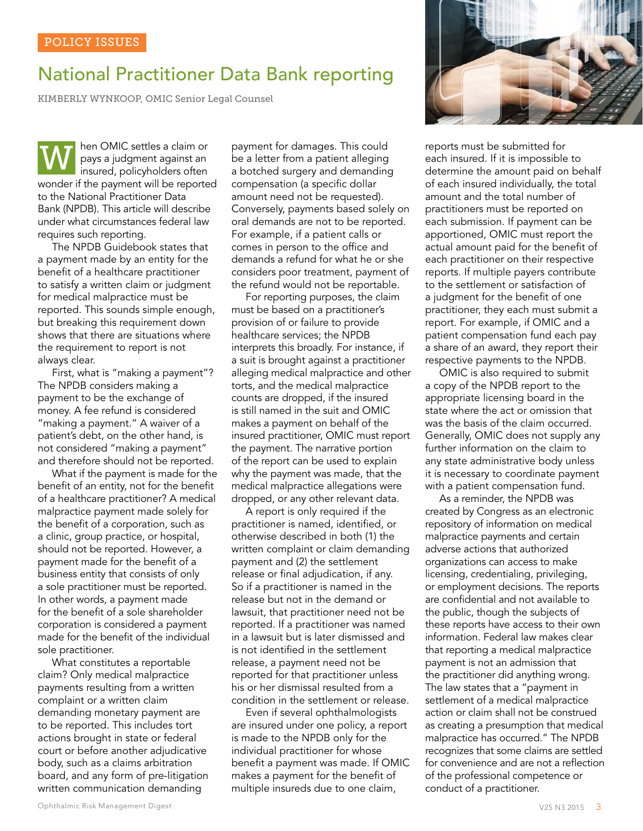# National Practitioner Data Bank reporting

KIMBERLY WYNKOOP, OMIC Senior Legal Counsel

hen OMIC settles a claim or pays a judgment against an insured, policyholders often wonder if the payment will be reported to the National Practitioner Data Bank (NPDB). This article will describe under what circumstances federal law requires such reporting. W

The NPDB Guidebook states that a payment made by an entity for the benefit of a healthcare practitioner to satisfy a written claim or judgment for medical malpractice must be reported. This sounds simple enough, but breaking this requirement down shows that there are situations where the requirement to report is not always clear.

First, what is "making a payment"? The NPDB considers making a payment to be the exchange of money. A fee refund is considered "making a payment." A waiver of a patient's debt, on the other hand, is not considered "making a payment" and therefore should not be reported.

What if the payment is made for the benefit of an entity, not for the benefit of a healthcare practitioner? A medical malpractice payment made solely for the benefit of a corporation, such as a clinic, group practice, or hospital, should not be reported. However, a payment made for the benefit of a business entity that consists of only a sole practitioner must be reported. In other words, a payment made for the benefit of a sole shareholder corporation is considered a payment made for the benefit of the individual sole practitioner.

What constitutes a reportable claim? Only medical malpractice payments resulting from a written complaint or a written claim demanding monetary payment are to be reported. This includes tort actions brought in state or federal court or before another adjudicative body, such as a claims arbitration board, and any form of pre-litigation written communication demanding

payment for damages. This could be a letter from a patient alleging a botched surgery and demanding compensation (a specific dollar amount need not be requested). Conversely, payments based solely on oral demands are not to be reported. For example, if a patient calls or comes in person to the office and demands a refund for what he or she considers poor treatment, payment of the refund would not be reportable.

For reporting purposes, the claim must be based on a practitioner's provision of or failure to provide healthcare services; the NPDB interprets this broadly. For instance, if a suit is brought against a practitioner alleging medical malpractice and other torts, and the medical malpractice counts are dropped, if the insured is still named in the suit and OMIC makes a payment on behalf of the insured practitioner, OMIC must report the payment. The narrative portion of the report can be used to explain why the payment was made, that the medical malpractice allegations were dropped, or any other relevant data.

A report is only required if the practitioner is named, identified, or otherwise described in both (1) the written complaint or claim demanding payment and (2) the settlement release or final adjudication, if any. So if a practitioner is named in the release but not in the demand or lawsuit, that practitioner need not be reported. If a practitioner was named in a lawsuit but is later dismissed and is not identified in the settlement release, a payment need not be reported for that practitioner unless his or her dismissal resulted from a condition in the settlement or release.

Even if several ophthalmologists are insured under one policy, a report is made to the NPDB only for the individual practitioner for whose benefit a payment was made. If OMIC makes a payment for the benefit of multiple insureds due to one claim,



reports must be submitted for each insured. If it is impossible to determine the amount paid on behalf of each insured individually, the total amount and the total number of practitioners must be reported on each submission. If payment can be apportioned, OMIC must report the actual amount paid for the benefit of each practitioner on their respective reports. If multiple payers contribute to the settlement or satisfaction of a judgment for the benefit of one practitioner, they each must submit a report. For example, if OMIC and a patient compensation fund each pay a share of an award, they report their respective payments to the NPDB.

OMIC is also required to submit a copy of the NPDB report to the appropriate licensing board in the state where the act or omission that was the basis of the claim occurred. Generally, OMIC does not supply any further information on the claim to any state administrative body unless it is necessary to coordinate payment with a patient compensation fund.

As a reminder, the NPDB was created by Congress as an electronic repository of information on medical malpractice payments and certain adverse actions that authorized organizations can access to make licensing, credentialing, privileging, or employment decisions. The reports are confidential and not available to the public, though the subjects of these reports have access to their own information. Federal law makes clear that reporting a medical malpractice payment is not an admission that the practitioner did anything wrong. The law states that a "payment in settlement of a medical malpractice action or claim shall not be construed as creating a presumption that medical malpractice has occurred." The NPDB recognizes that some claims are settled for convenience and are not a reflection of the professional competence or conduct of a practitioner.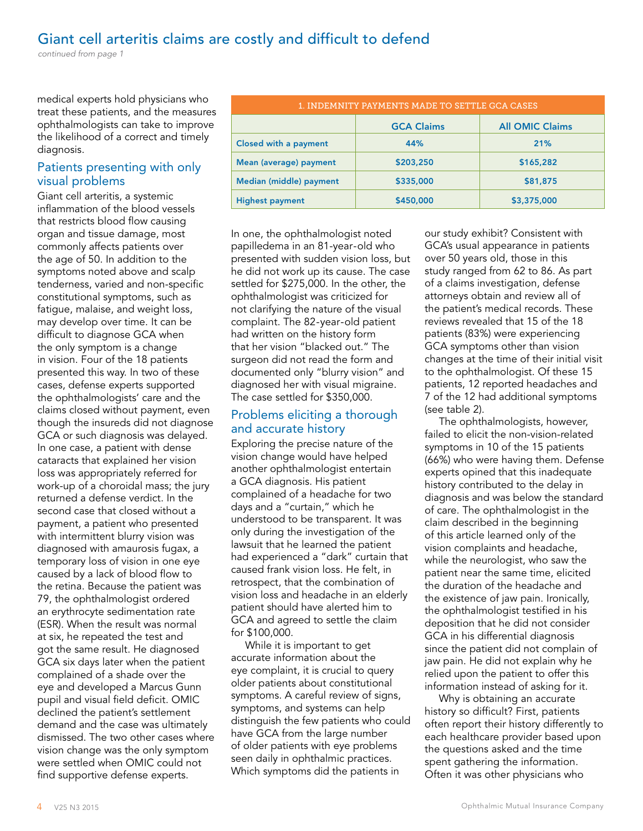## Giant cell arteritis claims are costly and difficult to defend

*continued from page 1*

medical experts hold physicians who treat these patients, and the measures ophthalmologists can take to improve the likelihood of a correct and timely diagnosis.

### Patients presenting with only visual problems

Giant cell arteritis, a systemic inflammation of the blood vessels that restricts blood flow causing organ and tissue damage, most commonly affects patients over the age of 50. In addition to the symptoms noted above and scalp tenderness, varied and non-specific constitutional symptoms, such as fatigue, malaise, and weight loss, may develop over time. It can be difficult to diagnose GCA when the only symptom is a change in vision. Four of the 18 patients presented this way. In two of these cases, defense experts supported the ophthalmologists' care and the claims closed without payment, even though the insureds did not diagnose GCA or such diagnosis was delayed. In one case, a patient with dense cataracts that explained her vision loss was appropriately referred for work-up of a choroidal mass; the jury returned a defense verdict. In the second case that closed without a payment, a patient who presented with intermittent blurry vision was diagnosed with amaurosis fugax, a temporary loss of vision in one eye caused by a lack of blood flow to the retina. Because the patient was 79, the ophthalmologist ordered an erythrocyte sedimentation rate (ESR). When the result was normal at six, he repeated the test and got the same result. He diagnosed GCA six days later when the patient complained of a shade over the eye and developed a Marcus Gunn pupil and visual field deficit. OMIC declined the patient's settlement demand and the case was ultimately dismissed. The two other cases where vision change was the only symptom were settled when OMIC could not find supportive defense experts.

| 1. INDEMNITY PAYMENTS MADE TO SETTLE GCA CASES |                   |                        |
|------------------------------------------------|-------------------|------------------------|
|                                                | <b>GCA Claims</b> | <b>All OMIC Claims</b> |
| <b>Closed with a payment</b>                   | 44%               | 21%                    |
| Mean (average) payment                         | \$203,250         | \$165,282              |
| Median (middle) payment                        | \$335,000         | \$81,875               |
| <b>Highest payment</b>                         | \$450,000         | \$3,375,000            |

In one, the ophthalmologist noted papilledema in an 81-year-old who presented with sudden vision loss, but he did not work up its cause. The case settled for \$275,000. In the other, the ophthalmologist was criticized for not clarifying the nature of the visual complaint. The 82-year-old patient had written on the history form that her vision "blacked out." The surgeon did not read the form and documented only "blurry vision" and diagnosed her with visual migraine. The case settled for \$350,000.

### Problems eliciting a thorough and accurate history

Exploring the precise nature of the vision change would have helped another ophthalmologist entertain a GCA diagnosis. His patient complained of a headache for two days and a "curtain," which he understood to be transparent. It was only during the investigation of the lawsuit that he learned the patient had experienced a "dark" curtain that caused frank vision loss. He felt, in retrospect, that the combination of vision loss and headache in an elderly patient should have alerted him to GCA and agreed to settle the claim for \$100,000.

While it is important to get accurate information about the eye complaint, it is crucial to query older patients about constitutional symptoms. A careful review of signs, symptoms, and systems can help distinguish the few patients who could have GCA from the large number of older patients with eye problems seen daily in ophthalmic practices. Which symptoms did the patients in

our study exhibit? Consistent with GCA's usual appearance in patients over 50 years old, those in this study ranged from 62 to 86. As part of a claims investigation, defense attorneys obtain and review all of the patient's medical records. These reviews revealed that 15 of the 18 patients (83%) were experiencing GCA symptoms other than vision changes at the time of their initial visit to the ophthalmologist. Of these 15 patients, 12 reported headaches and 7 of the 12 had additional symptoms (see table 2).

The ophthalmologists, however, failed to elicit the non-vision-related symptoms in 10 of the 15 patients (66%) who were having them. Defense experts opined that this inadequate history contributed to the delay in diagnosis and was below the standard of care. The ophthalmologist in the claim described in the beginning of this article learned only of the vision complaints and headache, while the neurologist, who saw the patient near the same time, elicited the duration of the headache and the existence of jaw pain. Ironically, the ophthalmologist testified in his deposition that he did not consider GCA in his differential diagnosis since the patient did not complain of jaw pain. He did not explain why he relied upon the patient to offer this information instead of asking for it.

Why is obtaining an accurate history so difficult? First, patients often report their history differently to each healthcare provider based upon the questions asked and the time spent gathering the information. Often it was other physicians who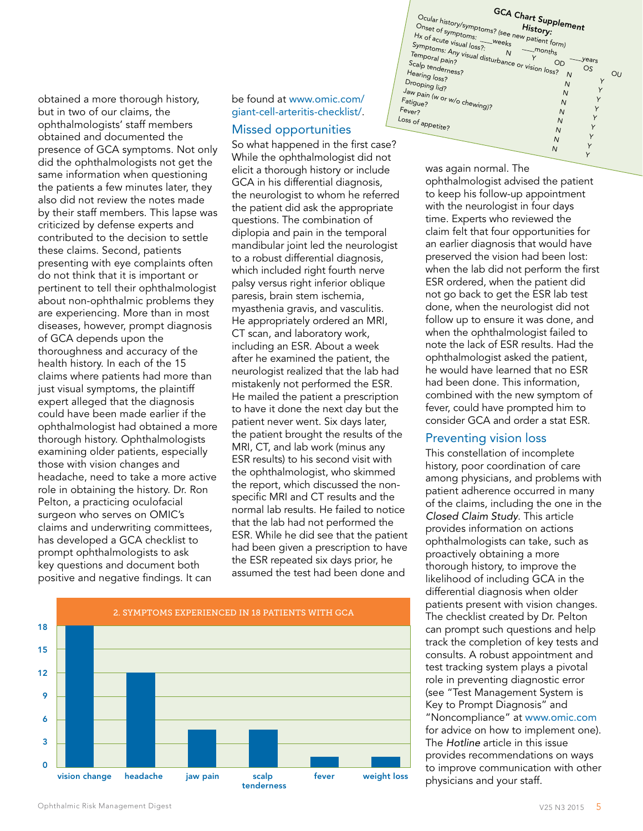obtained a more thorough history, but in two of our claims, the ophthalmologists' staff members obtained and documented the presence of GCA symptoms. Not only did the ophthalmologists not get the same information when questioning the patients a few minutes later, they also did not review the notes made by their staff members. This lapse was criticized by defense experts and contributed to the decision to settle these claims. Second, patients presenting with eye complaints often do not think that it is important or pertinent to tell their ophthalmologist about non-ophthalmic problems they are experiencing. More than in most diseases, however, prompt diagnosis of GCA depends upon the thoroughness and accuracy of the health history. In each of the 15 claims where patients had more than just visual symptoms, the plaintiff expert alleged that the diagnosis could have been made earlier if the ophthalmologist had obtained a more thorough history. Ophthalmologists examining older patients, especially those with vision changes and headache, need to take a more active role in obtaining the history. Dr. Ron Pelton, a practicing oculofacial surgeon who serves on OMIC's claims and underwriting committees, has developed a GCA checklist to prompt ophthalmologists to ask key questions and document both

positive and negative findings. It can

be found at [www.omic.com/](http://www.omic.com/giant-cell-arteritis-checklist/) [giant-](http://www.omic.com/giant-cell-arteritis-checklist/)cell-arteritis-checklist/.

#### Missed opportunities

So what happened in the first case? While the ophthalmologist did not elicit a thorough history or include GCA in his differential diagnosis, the neurologist to whom he referred the patient did ask the appropriate questions. The combination of diplopia and pain in the temporal mandibular joint led the neurologist to a robust differential diagnosis, which included right fourth nerve palsy versus right inferior oblique paresis, brain stem ischemia, myasthenia gravis, and vasculitis. He appropriately ordered an MRI, CT scan, and laboratory work, including an ESR. About a week after he examined the patient, the neurologist realized that the lab had mistakenly not performed the ESR. He mailed the patient a prescription to have it done the next day but the patient never went. Six days later, the patient brought the results of the MRI, CT, and lab work (minus any ESR results) to his second visit with the ophthalmologist, who skimmed the report, which discussed the nonspecific MRI and CT results and the normal lab results. He failed to notice that the lab had not performed the ESR. While he did see that the patient had been given a prescription to have the ESR repeated six days prior, he assumed the test had been done and





Y

was again normal. The ophthalmologist advised the patient to keep his follow-up appointment with the neurologist in four days time. Experts who reviewed the claim felt that four opportunities for an earlier diagnosis that would have preserved the vision had been lost: when the lab did not perform the first ESR ordered, when the patient did not go back to get the ESR lab test done, when the neurologist did not follow up to ensure it was done, and when the ophthalmologist failed to note the lack of ESR results. Had the ophthalmologist asked the patient, he would have learned that no ESR had been done. This information, combined with the new symptom of fever, could have prompted him to consider GCA and order a stat ESR.

#### Preventing vision loss

This constellation of incomplete history, poor coordination of care among physicians, and problems with patient adherence occurred in many of the claims, including the one in the *Closed Claim Study*. This article provides information on actions ophthalmologists can take, such as proactively obtaining a more thorough history, to improve the likelihood of including GCA in the differential diagnosis when older patients present with vision changes. The checklist created by Dr. Pelton can prompt such questions and help track the completion of key tests and consults. A robust appointment and test tracking system plays a pivotal role in preventing diagnostic error (see "Test Management System is Key to Prompt Diagnosis" and "Noncompliance" at [www.omic.com](http://www.omic.com) for advice on how to implement one). The *Hotline* article in this issue provides recommendations on ways to improve communication with other physicians and your staff.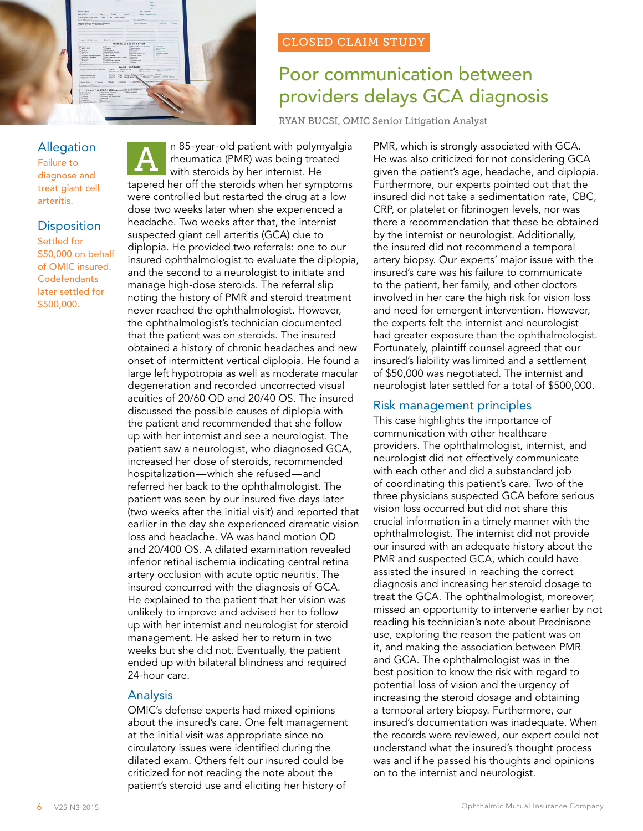

### Allegation

Failure to diagnose and treat giant cell arteritis.

### **Disposition**

Settled for \$50,000 on behalf of OMIC insured. **Codefendants** later settled for \$500,000.

n 85-year-old patient with polymyalgia rheumatica (PMR) was being treated with steroids by her internist. He tapered her off the steroids when her symptoms were controlled but restarted the drug at a low dose two weeks later when she experienced a headache. Two weeks after that, the internist suspected giant cell arteritis (GCA) due to diplopia. He provided two referrals: one to our insured ophthalmologist to evaluate the diplopia, and the second to a neurologist to initiate and manage high-dose steroids. The referral slip noting the history of PMR and steroid treatment never reached the ophthalmologist. However, the ophthalmologist's technician documented that the patient was on steroids. The insured obtained a history of chronic headaches and new onset of intermittent vertical diplopia. He found a large left hypotropia as well as moderate macular degeneration and recorded uncorrected visual acuities of 20/60 OD and 20/40 OS. The insured discussed the possible causes of diplopia with the patient and recommended that she follow up with her internist and see a neurologist. The patient saw a neurologist, who diagnosed GCA, increased her dose of steroids, recommended hospitalization—which she refused—and referred her back to the ophthalmologist. The patient was seen by our insured five days later (two weeks after the initial visit) and reported that earlier in the day she experienced dramatic vision loss and headache. VA was hand motion OD and 20/400 OS. A dilated examination revealed inferior retinal ischemia indicating central retina artery occlusion with acute optic neuritis. The insured concurred with the diagnosis of GCA. He explained to the patient that her vision was unlikely to improve and advised her to follow up with her internist and neurologist for steroid management. He asked her to return in two weeks but she did not. Eventually, the patient ended up with bilateral blindness and required 24-hour care. A

### Analysis

OMIC's defense experts had mixed opinions about the insured's care. One felt management at the initial visit was appropriate since no circulatory issues were identified during the dilated exam. Others felt our insured could be criticized for not reading the note about the patient's steroid use and eliciting her history of

### CLOSED CLAIM STUDY

# Poor communication between providers delays GCA diagnosis

RYAN BUCSI, OMIC Senior Litigation Analyst

PMR, which is strongly associated with GCA. He was also criticized for not considering GCA given the patient's age, headache, and diplopia. Furthermore, our experts pointed out that the insured did not take a sedimentation rate, CBC, CRP, or platelet or fibrinogen levels, nor was there a recommendation that these be obtained by the internist or neurologist. Additionally, the insured did not recommend a temporal artery biopsy. Our experts' major issue with the insured's care was his failure to communicate to the patient, her family, and other doctors involved in her care the high risk for vision loss and need for emergent intervention. However, the experts felt the internist and neurologist had greater exposure than the ophthalmologist. Fortunately, plaintiff counsel agreed that our insured's liability was limited and a settlement of \$50,000 was negotiated. The internist and neurologist later settled for a total of \$500,000.

### Risk management principles

This case highlights the importance of communication with other healthcare providers. The ophthalmologist, internist, and neurologist did not effectively communicate with each other and did a substandard job of coordinating this patient's care. Two of the three physicians suspected GCA before serious vision loss occurred but did not share this crucial information in a timely manner with the ophthalmologist. The internist did not provide our insured with an adequate history about the PMR and suspected GCA, which could have assisted the insured in reaching the correct diagnosis and increasing her steroid dosage to treat the GCA. The ophthalmologist, moreover, missed an opportunity to intervene earlier by not reading his technician's note about Prednisone use, exploring the reason the patient was on it, and making the association between PMR and GCA. The ophthalmologist was in the best position to know the risk with regard to potential loss of vision and the urgency of increasing the steroid dosage and obtaining a temporal artery biopsy. Furthermore, our insured's documentation was inadequate. When the records were reviewed, our expert could not understand what the insured's thought process was and if he passed his thoughts and opinions on to the internist and neurologist.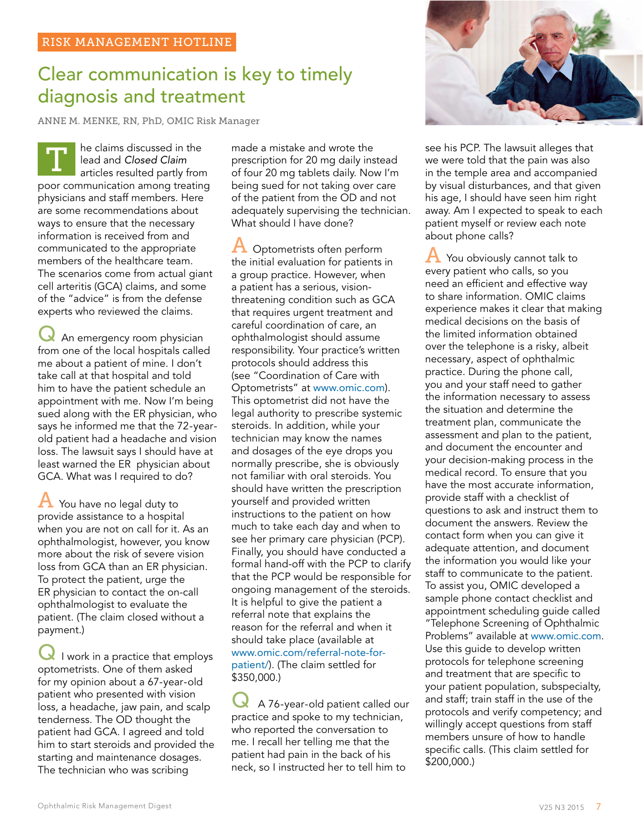# Clear communication is key to timely diagnosis and treatment

ANNE M. MENKE, RN, PhD, OMIC Risk Manager

he claims discussed in the lead and *Closed Claim*  articles resulted partly from poor communication among treating physicians and staff members. Here are some recommendations about ways to ensure that the necessary information is received from and communicated to the appropriate members of the healthcare team. The scenarios come from actual giant cell arteritis (GCA) claims, and some of the "advice" is from the defense experts who reviewed the claims. T

An emergency room physician from one of the local hospitals called me about a patient of mine. I don't take call at that hospital and told him to have the patient schedule an appointment with me. Now I'm being sued along with the ER physician, who says he informed me that the 72-yearold patient had a headache and vision loss. The lawsuit says I should have at least warned the ER physician about GCA. What was I required to do?

A You have no legal duty to provide assistance to a hospital when you are not on call for it. As an ophthalmologist, however, you know more about the risk of severe vision loss from GCA than an ER physician. To protect the patient, urge the ER physician to contact the on-call ophthalmologist to evaluate the patient. (The claim closed without a payment.)

I work in a practice that employs optometrists. One of them asked for my opinion about a 67-year-old patient who presented with vision loss, a headache, jaw pain, and scalp tenderness. The OD thought the patient had GCA. I agreed and told him to start steroids and provided the starting and maintenance dosages. The technician who was scribing

made a mistake and wrote the prescription for 20 mg daily instead of four 20 mg tablets daily. Now I'm being sued for not taking over care of the patient from the OD and not adequately supervising the technician. What should I have done?

A Optometrists often perform the initial evaluation for patients in a group practice. However, when a patient has a serious, visionthreatening condition such as GCA that requires urgent treatment and careful coordination of care, an ophthalmologist should assume responsibility. Your practice's written protocols should address this (see "Coordination of Care with Optometrists" at [www.omic.com](http://www.omic.com)). This optometrist did not have the legal authority to prescribe systemic steroids. In addition, while your technician may know the names and dosages of the eye drops you normally prescribe, she is obviously not familiar with oral steroids. You should have written the prescription yourself and provided written instructions to the patient on how much to take each day and when to see her primary care physician (PCP). Finally, you should have conducted a formal hand-off with the PCP to clarify that the PCP would be responsible for ongoing management of the steroids. It is helpful to give the patient a referral note that explains the reason for the referral and when it should take place (available at [www.omic.com/referral-](http://www.omic.com/referral-note-for-patient)note-forpatient/). (The claim settled for \$350,000.)

A 76-year-old patient called our practice and spoke to my technician, who reported the conversation to me. I recall her telling me that the patient had pain in the back of his neck, so I instructed her to tell him to



see his PCP. The lawsuit alleges that we were told that the pain was also in the temple area and accompanied by visual disturbances, and that given his age, I should have seen him right away. Am I expected to speak to each patient myself or review each note about phone calls?

 $\bf{A}$  You obviously cannot talk to every patient who calls, so you need an efficient and effective way to share information. OMIC claims experience makes it clear that making medical decisions on the basis of the limited information obtained over the telephone is a risky, albeit necessary, aspect of ophthalmic practice. During the phone call, you and your staff need to gather the information necessary to assess the situation and determine the treatment plan, communicate the assessment and plan to the patient, and document the encounter and your decision-making process in the medical record. To ensure that you have the most accurate information, provide staff with a checklist of questions to ask and instruct them to document the answers. Review the contact form when you can give it adequate attention, and document the information you would like your staff to communicate to the patient. To assist you, OMIC developed a sample phone contact checklist and appointment scheduling guide called "Telephone Screening of Ophthalmic Problems" available at [www.omic.com](http://www.omic.com). Use this guide to develop written protocols for telephone screening and treatment that are specific to your patient population, subspecialty, and staff; train staff in the use of the protocols and verify competency; and willingly accept questions from staff members unsure of how to handle specific calls. (This claim settled for \$200,000.)